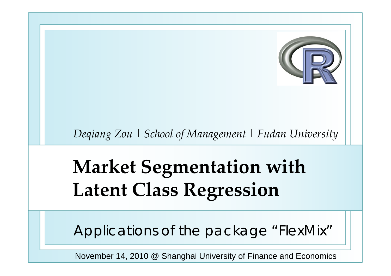

*Deqiang Zou* | *School of Management* | *Fudan University*

# **Market Segmentation with Latent Class Regression**

Applications of the package "FlexMix"

November 14, 2010 @ Shanghai University of Finance and Economics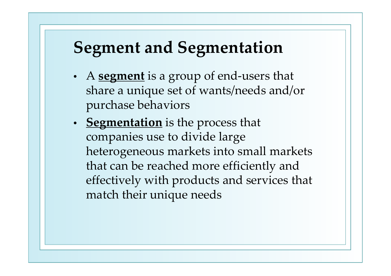# **Segment and Segmentation**

- A **segmen<sup>t</sup>** is <sup>a</sup> group of end‐users that share <sup>a</sup> unique set of wants/needs and/or purchase behaviors
- **Segmentation** is the process that companies use to divide large heterogeneous markets into small markets that can be reached more efficiently and effectively with products and services that match their unique needs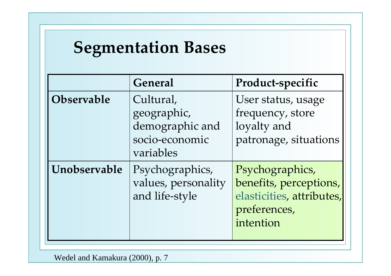#### **Segmentation Bases**

|                   | <b>General</b>                                                             | Product-specific                                                                                    |
|-------------------|----------------------------------------------------------------------------|-----------------------------------------------------------------------------------------------------|
| <b>Observable</b> | Cultural,<br>geographic,<br>demographic and<br>socio-economic<br>variables | User status, usage<br>frequency, store<br>loyalty and<br>patronage, situations                      |
| Unobservable      | Psychographics,<br>values, personality<br>and life-style                   | Psychographics,<br>benefits, perceptions,<br>elasticities, attributes,<br>preferences,<br>intention |

Wedel and Kamakura (2000), p. 7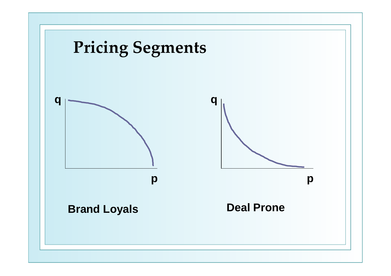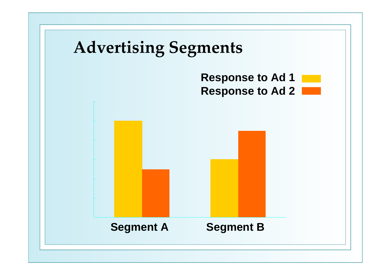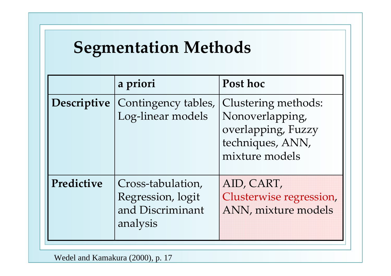# **Segmentation Methods**

|                    | a priori                                                               | Post hoc                                                                                           |
|--------------------|------------------------------------------------------------------------|----------------------------------------------------------------------------------------------------|
| <b>Descriptive</b> | Contingency tables,<br>Log-linear models                               | Clustering methods:<br>Nonoverlapping,<br>overlapping, Fuzzy<br>techniques, ANN,<br>mixture models |
| Predictive         | Cross-tabulation,<br>Regression, logit<br>and Discriminant<br>analysis | AID, CART,<br>Clusterwise regression,<br>ANN, mixture models                                       |

Wedel and Kamakura (2000), p. 17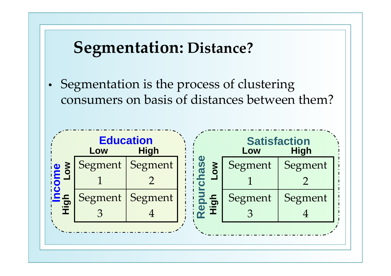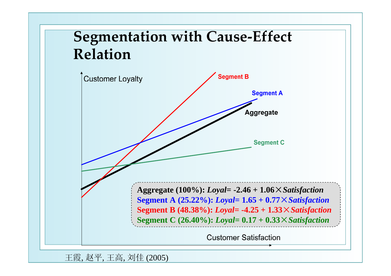#### **Segmentation with Cause‐Effect Relation**



王霞, 赵平, 王高, 刘佳 (2005)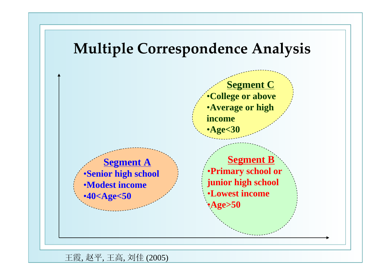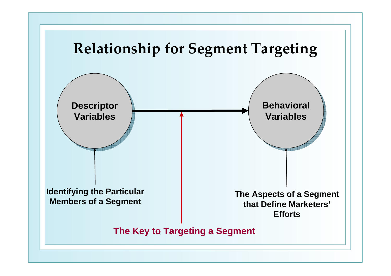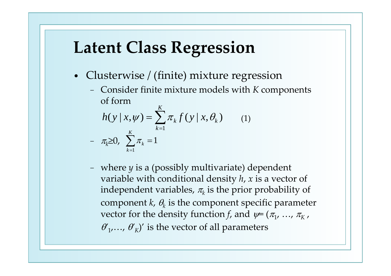# **Latent Class Regression**

- Clusterwise / (finite) mixture regression
	- − Consider finite mixture models with *K* components of form

$$
h(y | x, \psi) = \sum_{k=1}^{K} \pi_k f(y | x, \theta_k)
$$
 (1)  
-  $\pi_k \ge 0$ ,  $\sum_{k=1}^{K} \pi_k = 1$ 

 where *y* is <sup>a</sup> (possibly multivariate) dependent variable with conditional density *h*, *<sup>x</sup>* is <sup>a</sup> vector of independent variables,  $\pi_k$  is the prior probability of component *k*,  $\theta_k$  is the component specific parameter vector for the density function *f,* and  $\psi = (\pi_1, \; ...,\; \pi_K$  ,  $\theta'_1, \ldots, \theta'_K$ <sup>'</sup> is the vector of all parameters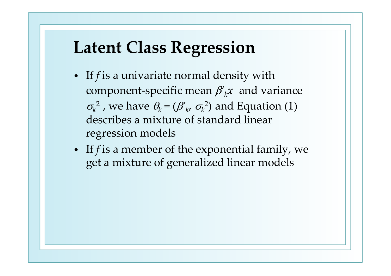#### **Latent Class Regression**

- If *f* is <sup>a</sup> univariate normal density with component-specific mean  $\beta'_{k}x$  and variance  $\sigma_k^2$ , we have  $\theta_k = (\beta'_{k'} \sigma_k^2)$  and Equation (1) describes <sup>a</sup> mixture of standard linear regression models
- If *f* is <sup>a</sup> member of the exponential family, we ge<sup>t</sup> <sup>a</sup> mixture of generalized linear models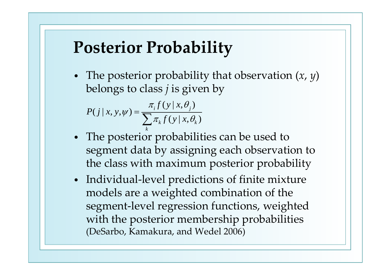#### **Posterior Probability**

• The posterior probability that observation (*<sup>x</sup>*, *y*) belongs to class *j* is given by

$$
P(j | x, y, \psi) = \frac{\pi_i f(y | x, \theta_j)}{\sum_k \pi_k f(y | x, \theta_k)}
$$

- The posterior probabilities can be used to segmen<sup>t</sup> data by assigning each observation to the class with maximum posterior probability
- Individual-level predictions of finite mixture models are <sup>a</sup> weighted combination of the segment‐level regression functions, weighted with the posterior membership probabilities (DeSarbo, Kamakura, and Wedel 2006)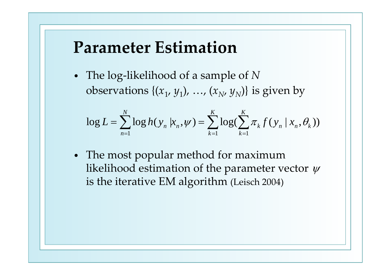#### **Parameter Estimation**

• The log‐likelihood of <sup>a</sup> sample of *<sup>N</sup>* observations  $\{(x_1, y_1), ..., (x_N, y_N)\}\)$  is given by

$$
\log L = \sum_{n=1}^{N} \log h(y_n | x_n, \psi) = \sum_{k=1}^{K} \log (\sum_{k=1}^{K} \pi_k f(y_n | x_n, \theta_k))
$$

• The most popular method for maximum likelihood estimation of the parameter vector  $\psi$ is the iterative EM algorithm (Leisch 2004)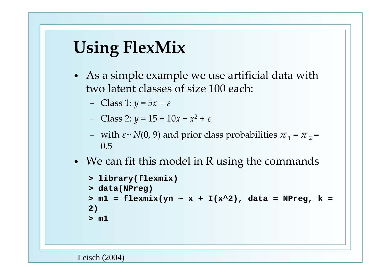# **Using FlexMix**

- As <sup>a</sup> simple example we use artificial data with two latent classes of size 100 each:
	- −Class 1: *y* <sup>=</sup> <sup>5</sup>*<sup>x</sup>* <sup>+</sup> *<sup>ε</sup>*
	- Class 2: *y* <sup>=</sup> <sup>15</sup> <sup>+</sup> <sup>10</sup>*<sup>x</sup>* <sup>−</sup> *<sup>x</sup>*<sup>2</sup> <sup>+</sup> *<sup>ε</sup>*
	- − with *<sup>ε</sup><sup>~</sup> <sup>N</sup>*(0, 9) and prior class probabilities <sup>π</sup> <sup>1</sup> <sup>=</sup> <sup>π</sup> <sup>2</sup> <sup>=</sup> 0.5
- We can fit this model in <sup>R</sup> using the commands

```
> library(flexmix)
> data(NPreg)
> m1 = flexmix(yn ~ x + I(x^2), data = NPreg, k = 
2)
> m1
```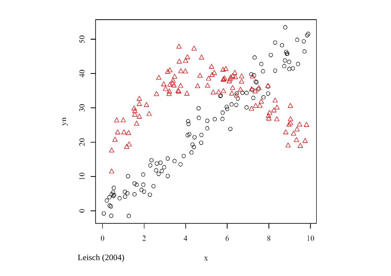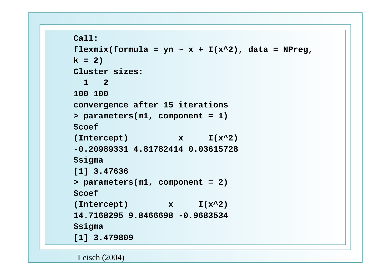```
Call:
```

```
flexmix(formula = yn \sim x + I(x^2), data = NPreg,
k = 2)Cluster sizes:1 2100 100convergence after 15 iterations
> parameters(m1, component = 1)
$coef
(Intercept) x I(x^2)
-0.20989331 4.81782414 0.03615728$sigma
[1] 3.47636
> parameters(m1, component = 2)
$coef
(Intercept) x I(x^2)
14.7168295 9.8466698 -0.9683534$sigma
[1] 3.479809
```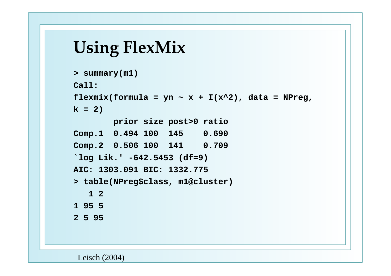#### **Using FlexMix**

```
> summary(m1)
Call:flexmix(formula = yn \sim x + I(x^2), data = NPreg,
k = 2)
       prior size post>0 ratio
Comp.1 0.494 100 145 0.690
Comp.2 0.506 100 141 0.709
`log Lik.' -642.5453 (df=9)
AIC: 1303.091 BIC: 1332.775> table(NPreg$class, m1@cluster)
   1 21 95 52 5 95
```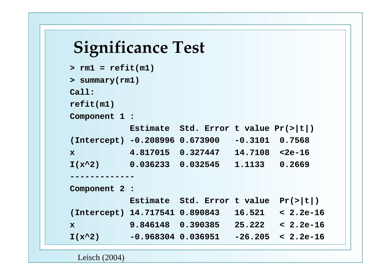#### **Significance Test**

```
> rm1 = refit(m1)
> summary(rm1)
Call:refit(m1)
Component 1 :
          Estimate Std. Error t value Pr(>|t|)
(Intercept) -0.208996 0.673900 -0.3101 0.7568
x 4.817015 0.327447 14.7108 <2e-16
I(x^2) 0.036233 0.032545 1.1133 0.2669
-------------Component 2 :
          Estimate Std. Error t value Pr(>|t|)
(Intercept) 14.717541 0.890843 16.521 < 2.2e-16
x 9.846148 0.390385 25.222 < 2.2e-16
I(x^2) -0.968304 0.036951 -26.205 < 2.2e-16
```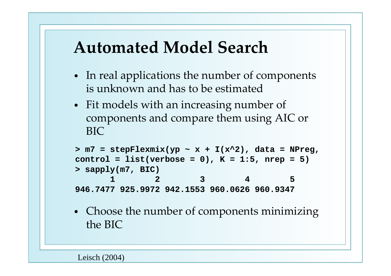#### **Automated Model Search**

- In real applications the number of components is unknown and has to be estimated
- Fit models with an increasing number of components and compare them using AIC or BIC

```
> m7 = stepFlexmix(yp ~ x + I(x^2), data = NPreg, 
control = list(verbose = 0), K = 1:5, nrep = 5)
> sapply(m7, BIC)
      1 2 3 4 5946.7477 925.9972 942.1553 960.0626 960.9347
```
• Choose the number of components minimizing the BIC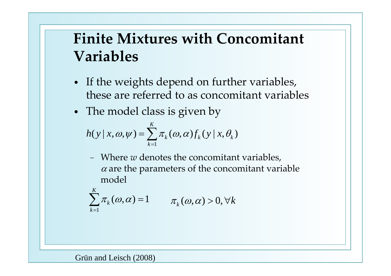#### **Finite Mixtures with Concomitant Variables**

- If the weights depend on further variables, these are referred to as concomitant variables
- The model class is given by

$$
h(y \mid x, \omega, \psi) = \sum_{k=1}^{K} \pi_k(\omega, \alpha) f_k(y \mid x, \theta_k)
$$

− Where *<sup>w</sup>* denotes the concomitant variables,  $\alpha$  are the parameters of the concomitant variable model

$$
\sum_{k=1}^{K} \pi_k(\omega, \alpha) = 1 \qquad \pi_k(\omega, \alpha) > 0, \forall k
$$

Grün and Leisch (2008)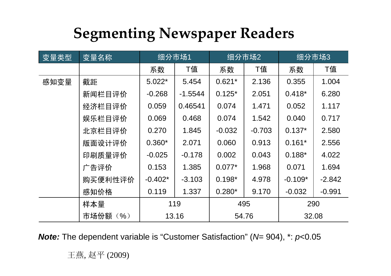#### **Segmenting Newspaper Readers**

| 变量类型 | 变量名称           | 细分市场1     |           | 细分市场2    |          | 细分市场3     |          |
|------|----------------|-----------|-----------|----------|----------|-----------|----------|
|      |                | 系数        | T值        | 系数       | T值       | 系数        | T值       |
| 感知变量 | 截距             | $5.022*$  | 5.454     | $0.621*$ | 2.136    | 0.355     | 1.004    |
|      | 新闻栏目评价         | $-0.268$  | $-1.5544$ | $0.125*$ | 2.051    | $0.418*$  | 6.280    |
|      | 经济栏目评价         | 0.059     | 0.46541   | 0.074    | 1.471    | 0.052     | 1.117    |
|      | 娱乐栏目评价         | 0.069     | 0.468     | 0.074    | 1.542    | 0.040     | 0.717    |
|      | 北京栏目评价         | 0.270     | 1.845     | $-0.032$ | $-0.703$ | $0.137*$  | 2.580    |
|      | 版面设计评价         | $0.360*$  | 2.071     | 0.060    | 0.913    | $0.161*$  | 2.556    |
|      | 印刷质量评价         | $-0.025$  | $-0.178$  | 0.002    | 0.043    | $0.188*$  | 4.022    |
|      | 广告评价           | 0.153     | 1.385     | $0.077*$ | 1.968    | 0.071     | 1.694    |
|      | 购买便利性评价        | $-0.402*$ | $-3.103$  | $0.198*$ | 4.978    | $-0.109*$ | $-2.842$ |
|      | 感知价格           | 0.119     | 1.337     | $0.280*$ | 9.170    | $-0.032$  | $-0.991$ |
|      | 样本量            | 119       |           | 495      |          | 290       |          |
|      | 市场份额<br>$($ %) | 13.16     |           | 54.76    |          | 32.08     |          |

*Note:* The dependent variable is "Customer Satisfaction" (*N*= 904), \*: *p*<0.05

王燕, 赵平 (2009)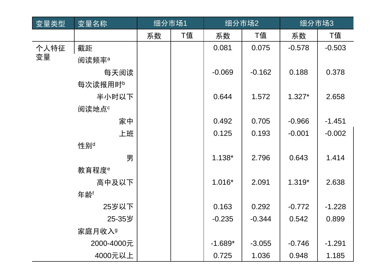| 变量类型 | 变量名称                | 细分市场1 |    | 细分市场2     |          | 细分市场3    |          |
|------|---------------------|-------|----|-----------|----------|----------|----------|
|      |                     | 系数    | T值 | 系数        | T值       | 系数       | T值       |
| 个人特征 | 截距                  |       |    | 0.081     | 0.075    | $-0.578$ | $-0.503$ |
| 变量   | 阅读频率 <sup>a</sup>   |       |    |           |          |          |          |
|      | 每天阅读                |       |    | $-0.069$  | $-0.162$ | 0.188    | 0.378    |
|      | 每次读报用时 <sup>b</sup> |       |    |           |          |          |          |
|      | 半小时以下               |       |    | 0.644     | 1.572    | $1.327*$ | 2.658    |
|      | 阅读地点 <sup>c</sup>   |       |    |           |          |          |          |
|      | 家中                  |       |    | 0.492     | 0.705    | $-0.966$ | $-1.451$ |
|      | 上班                  |       |    | 0.125     | 0.193    | $-0.001$ | $-0.002$ |
|      | 性别 <sup>d</sup>     |       |    |           |          |          |          |
|      | 男                   |       |    | $1.138*$  | 2.796    | 0.643    | 1.414    |
|      | 教育程度 <sup>e</sup>   |       |    |           |          |          |          |
|      | 高中及以下               |       |    | $1.016*$  | 2.091    | $1.319*$ | 2.638    |
|      | 年龄「                 |       |    |           |          |          |          |
|      | 25岁以下               |       |    | 0.163     | 0.292    | $-0.772$ | $-1.228$ |
|      | 25-35岁              |       |    | $-0.235$  | $-0.344$ | 0.542    | 0.899    |
|      | 家庭月收入 <sup>g</sup>  |       |    |           |          |          |          |
|      | 2000-4000元          |       |    | $-1.689*$ | $-3.055$ | $-0.746$ | $-1.291$ |
|      | 4000元以上             |       |    | 0.725     | 1.036    | 0.948    | 1.185    |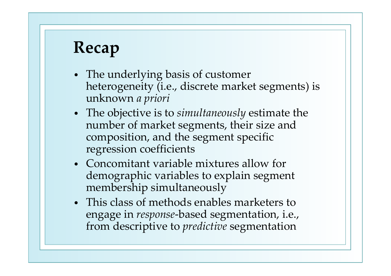# **Recap**

- The underlying basis of customer heterogeneity (i.e., discrete market segments) is unknown *<sup>a</sup> priori*
- The objective is to *simultaneously* estimate the number of market segments, their size and composition, and the segmen<sup>t</sup> specific regression coefficients
- Concomitant variable mixtures allow for demographic variables to explain segmen<sup>t</sup> membership simultaneously
- This class of methods enables marketers to engage in *response* ‐based segmentation, i.e., from descriptive to *predictive* segmentation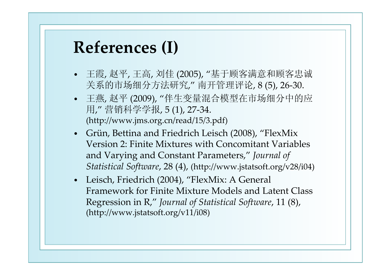#### **References (I)**

- 王霞, 赵平, 王高, 刘佳 (2005), "基于顾客满意和顾客忠诚 关系的市场细分方法研究," 南开管理评论, <sup>8</sup> (5), <sup>26</sup>‐30.
- 王燕, 赵平 (2009), "伴生变量混合模型在市场细分中的应 用," 营销科学学报, <sup>5</sup> (1), <sup>27</sup>‐34. (http://www.jms.org.cn/read/15/3.pdf)
- $\bullet$  Grün, Bettina and Friedrich Leisch (2008), "FlexMix Version 2: Finite Mixtures with Concomitant Variables and Varying and Constant Parameters," *Journal of Statistical Software*, 28 (4), (http://www.jstatsoft.org/v28/i04)
- Leisch, Friedrich (2004), "FlexMix: A General Framework for Finite Mixture Models and Latent Class Regression in R," *Journal of Statistical Software*, <sup>11</sup> (8), (http://www.jstatsoft.org/v11/i08)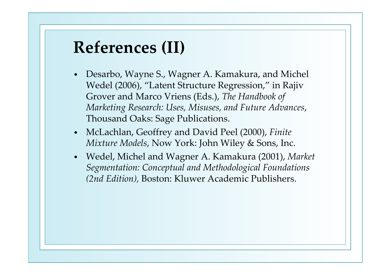#### **References (II)**

- $\bullet$  Desarbo, Wayne S., Wagner A. Kamakura, and Michel Wedel (2006), "Latent Structure Regression," in Rajiv Grover and Marco Vriens (Eds.), *The Handbook of Marketing Research: Uses, Misuses, and Future Advances*, Thousand Oaks: Sage Publications.
- McLachlan, Geoffrey and David Peel (2000), *Finite Mixture Models*, Now York: John Wiley & Sons, Inc.
- Wedel, Michel and Wagner A. Kamakura (2001), *Market Segmentation: Conceptual and Methodological Foundations (2nd Edition),* Boston: Kluwer Academic Publishers.